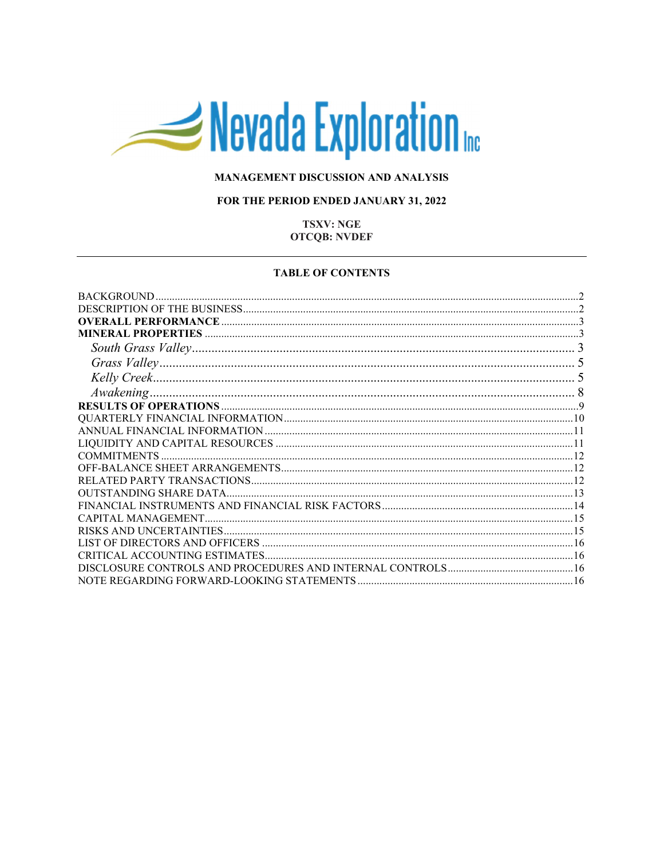# Nevada Exploration

# MANAGEMENT DISCUSSION AND ANALYSIS

# FOR THE PERIOD ENDED JANUARY 31, 2022

# **TSXV: NGE OTCQB: NVDEF**

#### **TABLE OF CONTENTS**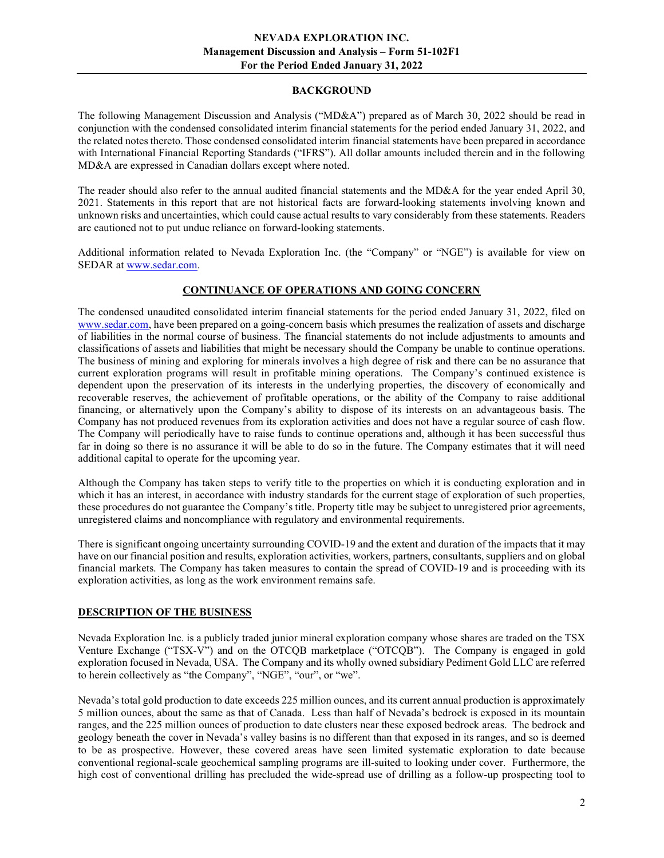# BACKGROUND

The following Management Discussion and Analysis ("MD&A") prepared as of March 30, 2022 should be read in conjunction with the condensed consolidated interim financial statements for the period ended January 31, 2022, and the related notes thereto. Those condensed consolidated interim financial statements have been prepared in accordance with International Financial Reporting Standards ("IFRS"). All dollar amounts included therein and in the following MD&A are expressed in Canadian dollars except where noted.

The reader should also refer to the annual audited financial statements and the MD&A for the year ended April 30, 2021. Statements in this report that are not historical facts are forward-looking statements involving known and unknown risks and uncertainties, which could cause actual results to vary considerably from these statements. Readers are cautioned not to put undue reliance on forward-looking statements.

Additional information related to Nevada Exploration Inc. (the "Company" or "NGE") is available for view on SEDAR at www.sedar.com.

# CONTINUANCE OF OPERATIONS AND GOING CONCERN

The condensed unaudited consolidated interim financial statements for the period ended January 31, 2022, filed on www.sedar.com, have been prepared on a going-concern basis which presumes the realization of assets and discharge of liabilities in the normal course of business. The financial statements do not include adjustments to amounts and classifications of assets and liabilities that might be necessary should the Company be unable to continue operations. The business of mining and exploring for minerals involves a high degree of risk and there can be no assurance that current exploration programs will result in profitable mining operations. The Company's continued existence is dependent upon the preservation of its interests in the underlying properties, the discovery of economically and recoverable reserves, the achievement of profitable operations, or the ability of the Company to raise additional financing, or alternatively upon the Company's ability to dispose of its interests on an advantageous basis. The Company has not produced revenues from its exploration activities and does not have a regular source of cash flow. The Company will periodically have to raise funds to continue operations and, although it has been successful thus far in doing so there is no assurance it will be able to do so in the future. The Company estimates that it will need additional capital to operate for the upcoming year.

Although the Company has taken steps to verify title to the properties on which it is conducting exploration and in which it has an interest, in accordance with industry standards for the current stage of exploration of such properties, these procedures do not guarantee the Company's title. Property title may be subject to unregistered prior agreements, unregistered claims and noncompliance with regulatory and environmental requirements.

There is significant ongoing uncertainty surrounding COVID-19 and the extent and duration of the impacts that it may have on our financial position and results, exploration activities, workers, partners, consultants, suppliers and on global financial markets. The Company has taken measures to contain the spread of COVID-19 and is proceeding with its exploration activities, as long as the work environment remains safe.

# DESCRIPTION OF THE BUSINESS

Nevada Exploration Inc. is a publicly traded junior mineral exploration company whose shares are traded on the TSX Venture Exchange ("TSX-V") and on the OTCQB marketplace ("OTCQB"). The Company is engaged in gold exploration focused in Nevada, USA. The Company and its wholly owned subsidiary Pediment Gold LLC are referred to herein collectively as "the Company", "NGE", "our", or "we".

Nevada's total gold production to date exceeds 225 million ounces, and its current annual production is approximately 5 million ounces, about the same as that of Canada. Less than half of Nevada's bedrock is exposed in its mountain ranges, and the 225 million ounces of production to date clusters near these exposed bedrock areas. The bedrock and geology beneath the cover in Nevada's valley basins is no different than that exposed in its ranges, and so is deemed to be as prospective. However, these covered areas have seen limited systematic exploration to date because conventional regional-scale geochemical sampling programs are ill-suited to looking under cover. Furthermore, the high cost of conventional drilling has precluded the wide-spread use of drilling as a follow-up prospecting tool to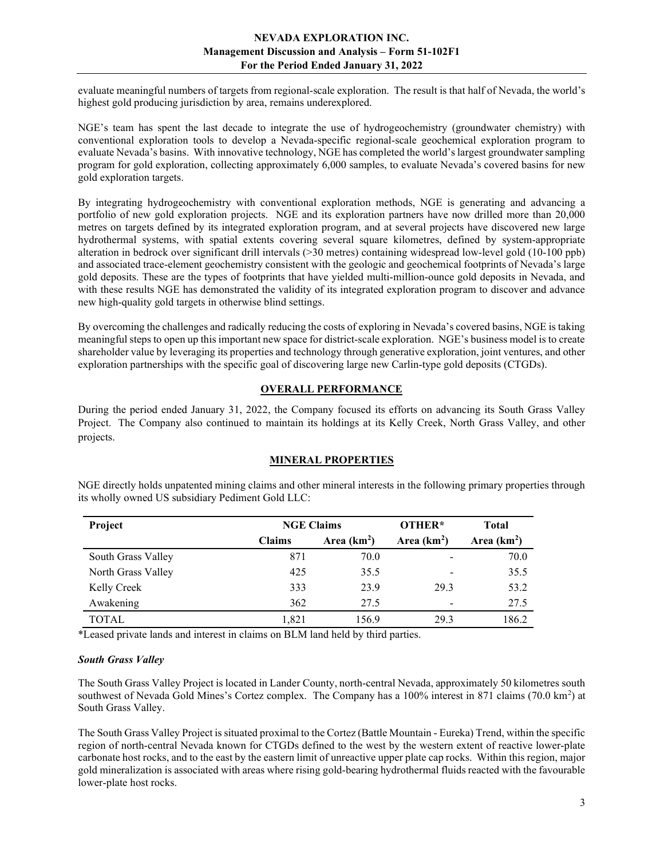evaluate meaningful numbers of targets from regional-scale exploration. The result is that half of Nevada, the world's highest gold producing jurisdiction by area, remains underexplored.

NGE's team has spent the last decade to integrate the use of hydrogeochemistry (groundwater chemistry) with conventional exploration tools to develop a Nevada-specific regional-scale geochemical exploration program to evaluate Nevada's basins. With innovative technology, NGE has completed the world's largest groundwater sampling program for gold exploration, collecting approximately 6,000 samples, to evaluate Nevada's covered basins for new gold exploration targets.

By integrating hydrogeochemistry with conventional exploration methods, NGE is generating and advancing a portfolio of new gold exploration projects. NGE and its exploration partners have now drilled more than 20,000 metres on targets defined by its integrated exploration program, and at several projects have discovered new large hydrothermal systems, with spatial extents covering several square kilometres, defined by system-appropriate alteration in bedrock over significant drill intervals (>30 metres) containing widespread low-level gold (10-100 ppb) and associated trace-element geochemistry consistent with the geologic and geochemical footprints of Nevada's large gold deposits. These are the types of footprints that have yielded multi-million-ounce gold deposits in Nevada, and with these results NGE has demonstrated the validity of its integrated exploration program to discover and advance new high-quality gold targets in otherwise blind settings.

By overcoming the challenges and radically reducing the costs of exploring in Nevada's covered basins, NGE is taking meaningful steps to open up this important new space for district-scale exploration. NGE's business model is to create shareholder value by leveraging its properties and technology through generative exploration, joint ventures, and other exploration partnerships with the specific goal of discovering large new Carlin-type gold deposits (CTGDs).

# OVERALL PERFORMANCE

During the period ended January 31, 2022, the Company focused its efforts on advancing its South Grass Valley Project. The Company also continued to maintain its holdings at its Kelly Creek, North Grass Valley, and other projects.

## MINERAL PROPERTIES

| Project            | <b>NGE Claims</b> |              | OTHER*                   | <b>Total</b> |
|--------------------|-------------------|--------------|--------------------------|--------------|
|                    | <b>Claims</b>     | Area $(km2)$ | Area $(km2)$             | Area $(km2)$ |
| South Grass Valley | 871               | 70.0         | -                        | 70.0         |
| North Grass Valley | 425               | 35.5         | $\overline{\phantom{0}}$ | 35.5         |
| Kelly Creek        | 333               | 23.9         | 29.3                     | 53.2         |
| Awakening          | 362               | 27.5         |                          | 27.5         |
| TOTAL              | 1.821             | 156.9        | 29.3                     | 186.2        |

NGE directly holds unpatented mining claims and other mineral interests in the following primary properties through its wholly owned US subsidiary Pediment Gold LLC:

\*Leased private lands and interest in claims on BLM land held by third parties.

## South Grass Valley

The South Grass Valley Project is located in Lander County, north-central Nevada, approximately 50 kilometres south southwest of Nevada Gold Mines's Cortez complex. The Company has a  $100\%$  interest in 871 claims (70.0 km<sup>2</sup>) at South Grass Valley.

The South Grass Valley Project is situated proximal to the Cortez (Battle Mountain - Eureka) Trend, within the specific region of north-central Nevada known for CTGDs defined to the west by the western extent of reactive lower-plate carbonate host rocks, and to the east by the eastern limit of unreactive upper plate cap rocks. Within this region, major gold mineralization is associated with areas where rising gold-bearing hydrothermal fluids reacted with the favourable lower-plate host rocks.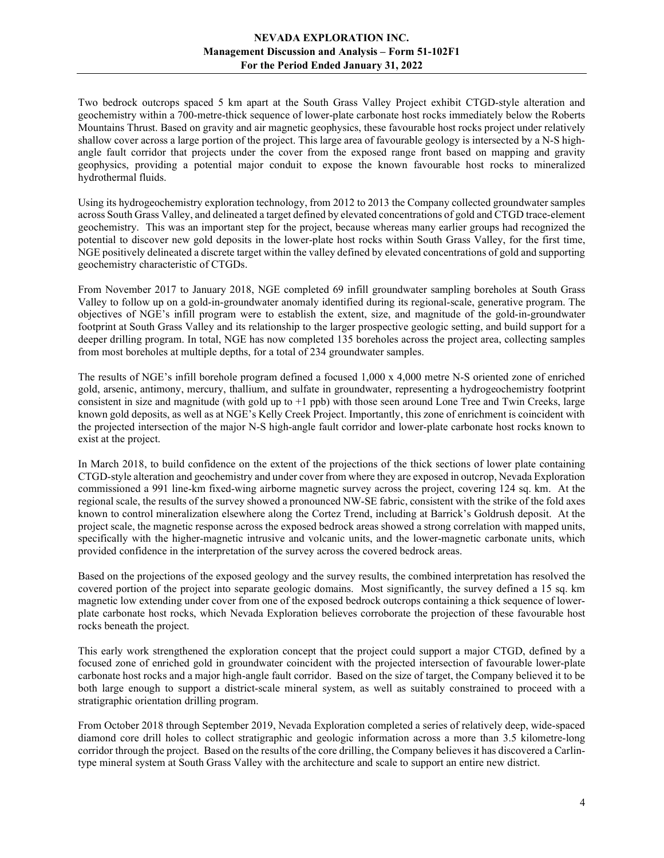Two bedrock outcrops spaced 5 km apart at the South Grass Valley Project exhibit CTGD-style alteration and geochemistry within a 700-metre-thick sequence of lower-plate carbonate host rocks immediately below the Roberts Mountains Thrust. Based on gravity and air magnetic geophysics, these favourable host rocks project under relatively shallow cover across a large portion of the project. This large area of favourable geology is intersected by a N-S highangle fault corridor that projects under the cover from the exposed range front based on mapping and gravity geophysics, providing a potential major conduit to expose the known favourable host rocks to mineralized hydrothermal fluids.

Using its hydrogeochemistry exploration technology, from 2012 to 2013 the Company collected groundwater samples across South Grass Valley, and delineated a target defined by elevated concentrations of gold and CTGD trace-element geochemistry. This was an important step for the project, because whereas many earlier groups had recognized the potential to discover new gold deposits in the lower-plate host rocks within South Grass Valley, for the first time, NGE positively delineated a discrete target within the valley defined by elevated concentrations of gold and supporting geochemistry characteristic of CTGDs.

From November 2017 to January 2018, NGE completed 69 infill groundwater sampling boreholes at South Grass Valley to follow up on a gold-in-groundwater anomaly identified during its regional-scale, generative program. The objectives of NGE's infill program were to establish the extent, size, and magnitude of the gold-in-groundwater footprint at South Grass Valley and its relationship to the larger prospective geologic setting, and build support for a deeper drilling program. In total, NGE has now completed 135 boreholes across the project area, collecting samples from most boreholes at multiple depths, for a total of 234 groundwater samples.

The results of NGE's infill borehole program defined a focused 1,000 x 4,000 metre N-S oriented zone of enriched gold, arsenic, antimony, mercury, thallium, and sulfate in groundwater, representing a hydrogeochemistry footprint consistent in size and magnitude (with gold up to  $+1$  ppb) with those seen around Lone Tree and Twin Creeks, large known gold deposits, as well as at NGE's Kelly Creek Project. Importantly, this zone of enrichment is coincident with the projected intersection of the major N-S high-angle fault corridor and lower-plate carbonate host rocks known to exist at the project.

In March 2018, to build confidence on the extent of the projections of the thick sections of lower plate containing CTGD-style alteration and geochemistry and under cover from where they are exposed in outcrop, Nevada Exploration commissioned a 991 line-km fixed-wing airborne magnetic survey across the project, covering 124 sq. km. At the regional scale, the results of the survey showed a pronounced NW-SE fabric, consistent with the strike of the fold axes known to control mineralization elsewhere along the Cortez Trend, including at Barrick's Goldrush deposit. At the project scale, the magnetic response across the exposed bedrock areas showed a strong correlation with mapped units, specifically with the higher-magnetic intrusive and volcanic units, and the lower-magnetic carbonate units, which provided confidence in the interpretation of the survey across the covered bedrock areas.

Based on the projections of the exposed geology and the survey results, the combined interpretation has resolved the covered portion of the project into separate geologic domains. Most significantly, the survey defined a 15 sq. km magnetic low extending under cover from one of the exposed bedrock outcrops containing a thick sequence of lowerplate carbonate host rocks, which Nevada Exploration believes corroborate the projection of these favourable host rocks beneath the project.

This early work strengthened the exploration concept that the project could support a major CTGD, defined by a focused zone of enriched gold in groundwater coincident with the projected intersection of favourable lower-plate carbonate host rocks and a major high-angle fault corridor. Based on the size of target, the Company believed it to be both large enough to support a district-scale mineral system, as well as suitably constrained to proceed with a stratigraphic orientation drilling program.

From October 2018 through September 2019, Nevada Exploration completed a series of relatively deep, wide-spaced diamond core drill holes to collect stratigraphic and geologic information across a more than 3.5 kilometre-long corridor through the project. Based on the results of the core drilling, the Company believes it has discovered a Carlintype mineral system at South Grass Valley with the architecture and scale to support an entire new district.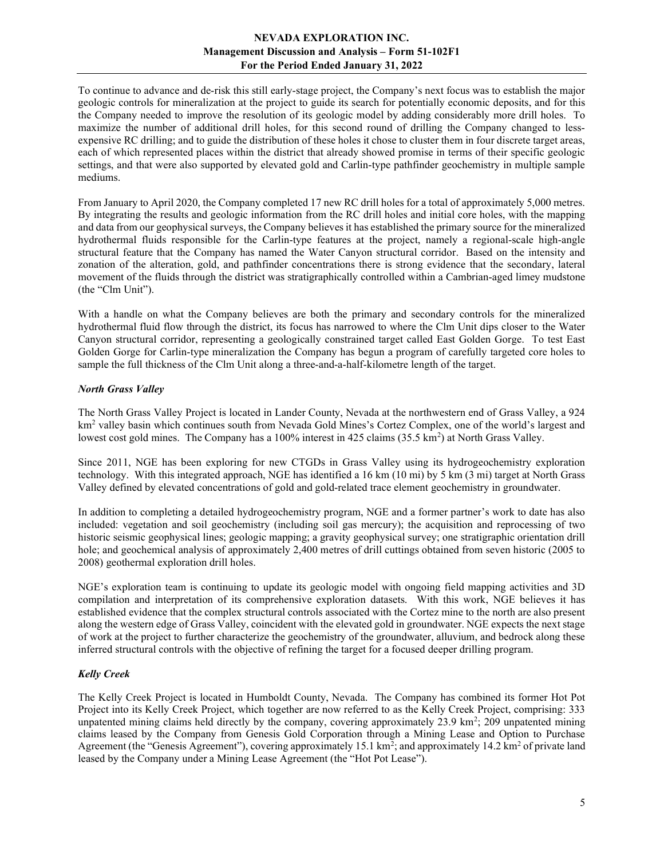To continue to advance and de-risk this still early-stage project, the Company's next focus was to establish the major geologic controls for mineralization at the project to guide its search for potentially economic deposits, and for this the Company needed to improve the resolution of its geologic model by adding considerably more drill holes. To maximize the number of additional drill holes, for this second round of drilling the Company changed to lessexpensive RC drilling; and to guide the distribution of these holes it chose to cluster them in four discrete target areas, each of which represented places within the district that already showed promise in terms of their specific geologic settings, and that were also supported by elevated gold and Carlin-type pathfinder geochemistry in multiple sample mediums.

From January to April 2020, the Company completed 17 new RC drill holes for a total of approximately 5,000 metres. By integrating the results and geologic information from the RC drill holes and initial core holes, with the mapping and data from our geophysical surveys, the Company believes it has established the primary source for the mineralized hydrothermal fluids responsible for the Carlin-type features at the project, namely a regional-scale high-angle structural feature that the Company has named the Water Canyon structural corridor. Based on the intensity and zonation of the alteration, gold, and pathfinder concentrations there is strong evidence that the secondary, lateral movement of the fluids through the district was stratigraphically controlled within a Cambrian-aged limey mudstone (the "Clm Unit").

With a handle on what the Company believes are both the primary and secondary controls for the mineralized hydrothermal fluid flow through the district, its focus has narrowed to where the Clm Unit dips closer to the Water Canyon structural corridor, representing a geologically constrained target called East Golden Gorge. To test East Golden Gorge for Carlin-type mineralization the Company has begun a program of carefully targeted core holes to sample the full thickness of the Clm Unit along a three-and-a-half-kilometre length of the target.

## North Grass Valley

The North Grass Valley Project is located in Lander County, Nevada at the northwestern end of Grass Valley, a 924 km<sup>2</sup> valley basin which continues south from Nevada Gold Mines's Cortez Complex, one of the world's largest and lowest cost gold mines. The Company has a 100% interest in 425 claims (35.5 km<sup>2</sup>) at North Grass Valley.

Since 2011, NGE has been exploring for new CTGDs in Grass Valley using its hydrogeochemistry exploration technology. With this integrated approach, NGE has identified a 16 km (10 mi) by 5 km (3 mi) target at North Grass Valley defined by elevated concentrations of gold and gold-related trace element geochemistry in groundwater.

In addition to completing a detailed hydrogeochemistry program, NGE and a former partner's work to date has also included: vegetation and soil geochemistry (including soil gas mercury); the acquisition and reprocessing of two historic seismic geophysical lines; geologic mapping; a gravity geophysical survey; one stratigraphic orientation drill hole; and geochemical analysis of approximately 2,400 metres of drill cuttings obtained from seven historic (2005 to 2008) geothermal exploration drill holes.

NGE's exploration team is continuing to update its geologic model with ongoing field mapping activities and 3D compilation and interpretation of its comprehensive exploration datasets. With this work, NGE believes it has established evidence that the complex structural controls associated with the Cortez mine to the north are also present along the western edge of Grass Valley, coincident with the elevated gold in groundwater. NGE expects the next stage of work at the project to further characterize the geochemistry of the groundwater, alluvium, and bedrock along these inferred structural controls with the objective of refining the target for a focused deeper drilling program.

## Kelly Creek

The Kelly Creek Project is located in Humboldt County, Nevada. The Company has combined its former Hot Pot Project into its Kelly Creek Project, which together are now referred to as the Kelly Creek Project, comprising: 333 unpatented mining claims held directly by the company, covering approximately  $23.9 \text{ km}^2$ ;  $209$  unpatented mining claims leased by the Company from Genesis Gold Corporation through a Mining Lease and Option to Purchase Agreement (the "Genesis Agreement"), covering approximately 15.1 km<sup>2</sup>; and approximately 14.2 km<sup>2</sup> of private land leased by the Company under a Mining Lease Agreement (the "Hot Pot Lease").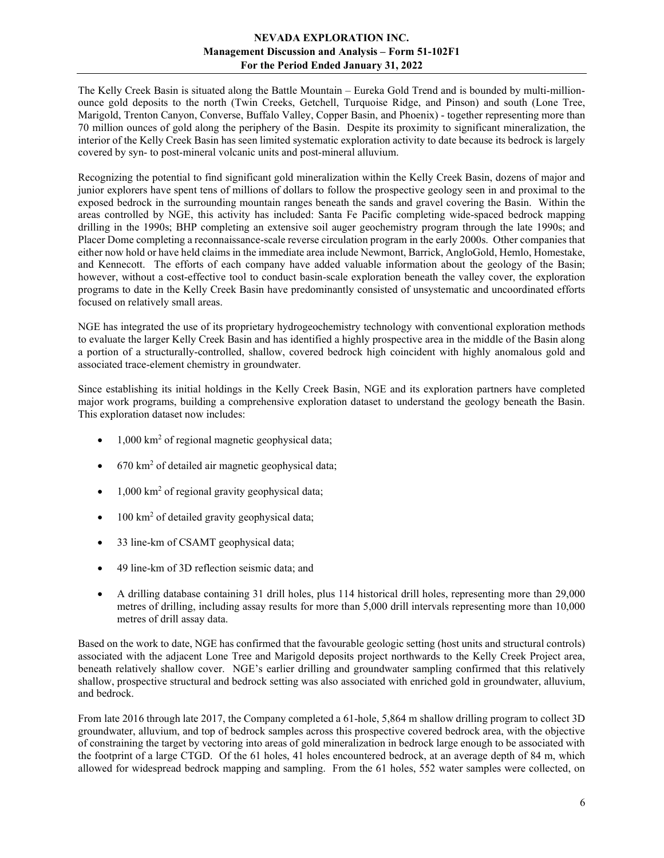The Kelly Creek Basin is situated along the Battle Mountain – Eureka Gold Trend and is bounded by multi-millionounce gold deposits to the north (Twin Creeks, Getchell, Turquoise Ridge, and Pinson) and south (Lone Tree, Marigold, Trenton Canyon, Converse, Buffalo Valley, Copper Basin, and Phoenix) - together representing more than 70 million ounces of gold along the periphery of the Basin. Despite its proximity to significant mineralization, the interior of the Kelly Creek Basin has seen limited systematic exploration activity to date because its bedrock is largely covered by syn- to post-mineral volcanic units and post-mineral alluvium.

Recognizing the potential to find significant gold mineralization within the Kelly Creek Basin, dozens of major and junior explorers have spent tens of millions of dollars to follow the prospective geology seen in and proximal to the exposed bedrock in the surrounding mountain ranges beneath the sands and gravel covering the Basin. Within the areas controlled by NGE, this activity has included: Santa Fe Pacific completing wide-spaced bedrock mapping drilling in the 1990s; BHP completing an extensive soil auger geochemistry program through the late 1990s; and Placer Dome completing a reconnaissance-scale reverse circulation program in the early 2000s. Other companies that either now hold or have held claims in the immediate area include Newmont, Barrick, AngloGold, Hemlo, Homestake, and Kennecott. The efforts of each company have added valuable information about the geology of the Basin; however, without a cost-effective tool to conduct basin-scale exploration beneath the valley cover, the exploration programs to date in the Kelly Creek Basin have predominantly consisted of unsystematic and uncoordinated efforts focused on relatively small areas.

NGE has integrated the use of its proprietary hydrogeochemistry technology with conventional exploration methods to evaluate the larger Kelly Creek Basin and has identified a highly prospective area in the middle of the Basin along a portion of a structurally-controlled, shallow, covered bedrock high coincident with highly anomalous gold and associated trace-element chemistry in groundwater.

Since establishing its initial holdings in the Kelly Creek Basin, NGE and its exploration partners have completed major work programs, building a comprehensive exploration dataset to understand the geology beneath the Basin. This exploration dataset now includes:

- $\bullet$  1,000 km<sup>2</sup> of regional magnetic geophysical data;
- 670 km<sup>2</sup> of detailed air magnetic geophysical data;
- 1,000 km<sup>2</sup> of regional gravity geophysical data;
- 100 km<sup>2</sup> of detailed gravity geophysical data;
- 33 line-km of CSAMT geophysical data;
- 49 line-km of 3D reflection seismic data; and
- A drilling database containing 31 drill holes, plus 114 historical drill holes, representing more than 29,000 metres of drilling, including assay results for more than 5,000 drill intervals representing more than 10,000 metres of drill assay data.

Based on the work to date, NGE has confirmed that the favourable geologic setting (host units and structural controls) associated with the adjacent Lone Tree and Marigold deposits project northwards to the Kelly Creek Project area, beneath relatively shallow cover. NGE's earlier drilling and groundwater sampling confirmed that this relatively shallow, prospective structural and bedrock setting was also associated with enriched gold in groundwater, alluvium, and bedrock.

From late 2016 through late 2017, the Company completed a 61-hole, 5,864 m shallow drilling program to collect 3D groundwater, alluvium, and top of bedrock samples across this prospective covered bedrock area, with the objective of constraining the target by vectoring into areas of gold mineralization in bedrock large enough to be associated with the footprint of a large CTGD. Of the 61 holes, 41 holes encountered bedrock, at an average depth of 84 m, which allowed for widespread bedrock mapping and sampling. From the 61 holes, 552 water samples were collected, on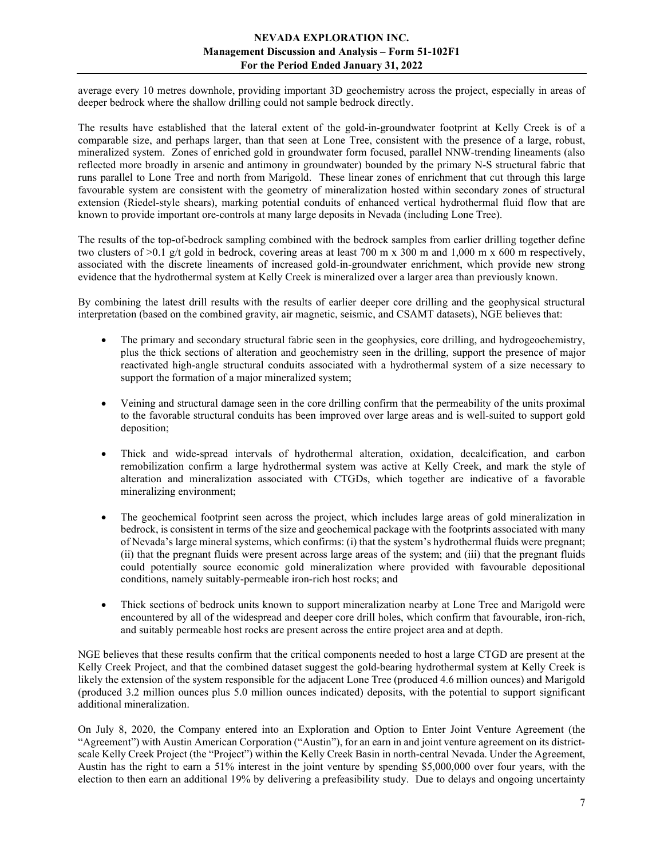average every 10 metres downhole, providing important 3D geochemistry across the project, especially in areas of deeper bedrock where the shallow drilling could not sample bedrock directly.

The results have established that the lateral extent of the gold-in-groundwater footprint at Kelly Creek is of a comparable size, and perhaps larger, than that seen at Lone Tree, consistent with the presence of a large, robust, mineralized system. Zones of enriched gold in groundwater form focused, parallel NNW-trending lineaments (also reflected more broadly in arsenic and antimony in groundwater) bounded by the primary N-S structural fabric that runs parallel to Lone Tree and north from Marigold. These linear zones of enrichment that cut through this large favourable system are consistent with the geometry of mineralization hosted within secondary zones of structural extension (Riedel-style shears), marking potential conduits of enhanced vertical hydrothermal fluid flow that are known to provide important ore-controls at many large deposits in Nevada (including Lone Tree).

The results of the top-of-bedrock sampling combined with the bedrock samples from earlier drilling together define two clusters of  $>0.1$  g/t gold in bedrock, covering areas at least 700 m x 300 m and 1,000 m x 600 m respectively, associated with the discrete lineaments of increased gold-in-groundwater enrichment, which provide new strong evidence that the hydrothermal system at Kelly Creek is mineralized over a larger area than previously known.

By combining the latest drill results with the results of earlier deeper core drilling and the geophysical structural interpretation (based on the combined gravity, air magnetic, seismic, and CSAMT datasets), NGE believes that:

- The primary and secondary structural fabric seen in the geophysics, core drilling, and hydrogeochemistry, plus the thick sections of alteration and geochemistry seen in the drilling, support the presence of major reactivated high-angle structural conduits associated with a hydrothermal system of a size necessary to support the formation of a major mineralized system;
- Veining and structural damage seen in the core drilling confirm that the permeability of the units proximal to the favorable structural conduits has been improved over large areas and is well-suited to support gold deposition;
- Thick and wide-spread intervals of hydrothermal alteration, oxidation, decalcification, and carbon remobilization confirm a large hydrothermal system was active at Kelly Creek, and mark the style of alteration and mineralization associated with CTGDs, which together are indicative of a favorable mineralizing environment;
- The geochemical footprint seen across the project, which includes large areas of gold mineralization in bedrock, is consistent in terms of the size and geochemical package with the footprints associated with many of Nevada's large mineral systems, which confirms: (i) that the system's hydrothermal fluids were pregnant; (ii) that the pregnant fluids were present across large areas of the system; and (iii) that the pregnant fluids could potentially source economic gold mineralization where provided with favourable depositional conditions, namely suitably-permeable iron-rich host rocks; and
- Thick sections of bedrock units known to support mineralization nearby at Lone Tree and Marigold were encountered by all of the widespread and deeper core drill holes, which confirm that favourable, iron-rich, and suitably permeable host rocks are present across the entire project area and at depth.

NGE believes that these results confirm that the critical components needed to host a large CTGD are present at the Kelly Creek Project, and that the combined dataset suggest the gold-bearing hydrothermal system at Kelly Creek is likely the extension of the system responsible for the adjacent Lone Tree (produced 4.6 million ounces) and Marigold (produced 3.2 million ounces plus 5.0 million ounces indicated) deposits, with the potential to support significant additional mineralization.

On July 8, 2020, the Company entered into an Exploration and Option to Enter Joint Venture Agreement (the "Agreement") with Austin American Corporation ("Austin"), for an earn in and joint venture agreement on its districtscale Kelly Creek Project (the "Project") within the Kelly Creek Basin in north-central Nevada. Under the Agreement, Austin has the right to earn a 51% interest in the joint venture by spending \$5,000,000 over four years, with the election to then earn an additional 19% by delivering a prefeasibility study. Due to delays and ongoing uncertainty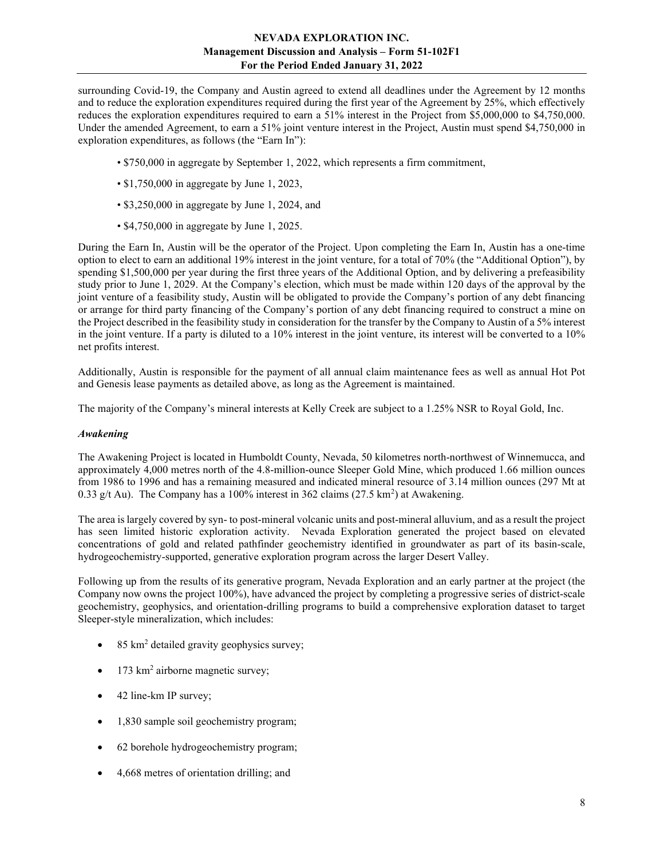surrounding Covid-19, the Company and Austin agreed to extend all deadlines under the Agreement by 12 months and to reduce the exploration expenditures required during the first year of the Agreement by 25%, which effectively reduces the exploration expenditures required to earn a 51% interest in the Project from \$5,000,000 to \$4,750,000. Under the amended Agreement, to earn a 51% joint venture interest in the Project, Austin must spend \$4,750,000 in exploration expenditures, as follows (the "Earn In"):

- \$750,000 in aggregate by September 1, 2022, which represents a firm commitment,
- \$1,750,000 in aggregate by June 1, 2023,
- \$3,250,000 in aggregate by June 1, 2024, and
- \$4,750,000 in aggregate by June 1, 2025.

During the Earn In, Austin will be the operator of the Project. Upon completing the Earn In, Austin has a one-time option to elect to earn an additional 19% interest in the joint venture, for a total of 70% (the "Additional Option"), by spending \$1,500,000 per year during the first three years of the Additional Option, and by delivering a prefeasibility study prior to June 1, 2029. At the Company's election, which must be made within 120 days of the approval by the joint venture of a feasibility study, Austin will be obligated to provide the Company's portion of any debt financing or arrange for third party financing of the Company's portion of any debt financing required to construct a mine on the Project described in the feasibility study in consideration for the transfer by the Company to Austin of a 5% interest in the joint venture. If a party is diluted to a 10% interest in the joint venture, its interest will be converted to a 10% net profits interest.

Additionally, Austin is responsible for the payment of all annual claim maintenance fees as well as annual Hot Pot and Genesis lease payments as detailed above, as long as the Agreement is maintained.

The majority of the Company's mineral interests at Kelly Creek are subject to a 1.25% NSR to Royal Gold, Inc.

#### Awakening

The Awakening Project is located in Humboldt County, Nevada, 50 kilometres north-northwest of Winnemucca, and approximately 4,000 metres north of the 4.8-million-ounce Sleeper Gold Mine, which produced 1.66 million ounces from 1986 to 1996 and has a remaining measured and indicated mineral resource of 3.14 million ounces (297 Mt at 0.33 g/t Au). The Company has a 100% interest in 362 claims  $(27.5 \text{ km}^2)$  at Awakening.

The area is largely covered by syn- to post-mineral volcanic units and post-mineral alluvium, and as a result the project has seen limited historic exploration activity. Nevada Exploration generated the project based on elevated concentrations of gold and related pathfinder geochemistry identified in groundwater as part of its basin-scale, hydrogeochemistry-supported, generative exploration program across the larger Desert Valley.

Following up from the results of its generative program, Nevada Exploration and an early partner at the project (the Company now owns the project 100%), have advanced the project by completing a progressive series of district-scale geochemistry, geophysics, and orientation-drilling programs to build a comprehensive exploration dataset to target Sleeper-style mineralization, which includes:

- $\bullet$  85 km<sup>2</sup> detailed gravity geophysics survey;
- $\bullet$  173 km<sup>2</sup> airborne magnetic survey;
- 42 line-km IP survey;
- 1,830 sample soil geochemistry program;
- 62 borehole hydrogeochemistry program;
- 4,668 metres of orientation drilling; and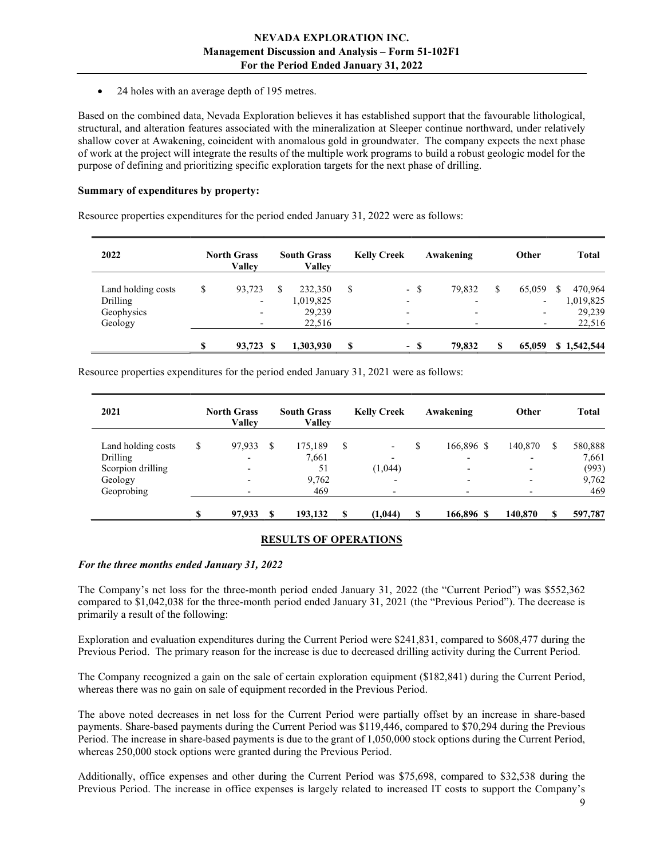• 24 holes with an average depth of 195 metres.

Based on the combined data, Nevada Exploration believes it has established support that the favourable lithological, structural, and alteration features associated with the mineralization at Sleeper continue northward, under relatively shallow cover at Awakening, coincident with anomalous gold in groundwater. The company expects the next phase of work at the project will integrate the results of the multiple work programs to build a robust geologic model for the purpose of defining and prioritizing specific exploration targets for the next phase of drilling.

#### Summary of expenditures by property:

Resource properties expenditures for the period ended January 31, 2022 were as follows:

| 2022               | <b>North Grass</b><br>Vallev |   | <b>South Grass</b><br><b>Valley</b> | <b>Kelly Creek</b> |                          |      | Awakening                | Other                    |   | <b>Total</b> |
|--------------------|------------------------------|---|-------------------------------------|--------------------|--------------------------|------|--------------------------|--------------------------|---|--------------|
| Land holding costs | \$<br>93,723                 | S | 232,350                             | S                  |                          | - \$ | 79,832                   | 65,059                   | S | 470,964      |
| Drilling           | $\overline{\phantom{a}}$     |   | 1,019,825                           |                    | $\overline{\phantom{0}}$ |      |                          | $\overline{\phantom{0}}$ |   | 1,019,825    |
| Geophysics         |                              |   | 29,239                              |                    |                          |      | $\overline{\phantom{0}}$ | $\overline{\phantom{0}}$ |   | 29,239       |
| Geology            |                              |   | 22,516                              |                    |                          |      |                          | $\overline{\phantom{a}}$ |   | 22,516       |
|                    | \$<br>93.723 \$              |   | 1,303,930                           | S                  |                          | - \$ | 79.832                   | 65,059                   |   | \$1,542,544  |

Resource properties expenditures for the period ended January 31, 2021 were as follows:

| 2021               | <b>North Grass</b><br>Vallev |    | <b>South Grass</b><br><b>Valley</b> |    | <b>Kelly Creek</b>       | Awakening                | Other                    |   | <b>Total</b> |
|--------------------|------------------------------|----|-------------------------------------|----|--------------------------|--------------------------|--------------------------|---|--------------|
| Land holding costs | \$<br>97,933                 | S  | 175,189                             | \$ | $\overline{\phantom{0}}$ | 166,896 \$               | 140,870                  | S | 580,888      |
| Drilling           | $\overline{\phantom{0}}$     |    | 7,661                               |    | $\overline{\phantom{0}}$ | $\overline{\phantom{0}}$ |                          |   | 7,661        |
| Scorpion drilling  | -                            |    | 51                                  |    | (1,044)                  | $\overline{\phantom{0}}$ | $\overline{\phantom{0}}$ |   | (993)        |
| Geology            |                              |    | 9,762                               |    | $\overline{\phantom{0}}$ | $\overline{\phantom{0}}$ |                          |   | 9,762        |
| Geoprobing         |                              |    | 469                                 |    |                          |                          |                          |   | 469          |
|                    | 97,933                       | -S | 193,132                             | -S | (1,044)                  | \$<br>166,896 \$         | 140,870                  |   | 597,787      |

#### RESULTS OF OPERATIONS

#### For the three months ended January 31, 2022

The Company's net loss for the three-month period ended January 31, 2022 (the "Current Period") was \$552,362 compared to \$1,042,038 for the three-month period ended January 31, 2021 (the "Previous Period"). The decrease is primarily a result of the following:

Exploration and evaluation expenditures during the Current Period were \$241,831, compared to \$608,477 during the Previous Period. The primary reason for the increase is due to decreased drilling activity during the Current Period.

The Company recognized a gain on the sale of certain exploration equipment (\$182,841) during the Current Period, whereas there was no gain on sale of equipment recorded in the Previous Period.

The above noted decreases in net loss for the Current Period were partially offset by an increase in share-based payments. Share-based payments during the Current Period was \$119,446, compared to \$70,294 during the Previous Period. The increase in share-based payments is due to the grant of 1,050,000 stock options during the Current Period, whereas 250,000 stock options were granted during the Previous Period.

Additionally, office expenses and other during the Current Period was \$75,698, compared to \$32,538 during the Previous Period. The increase in office expenses is largely related to increased IT costs to support the Company's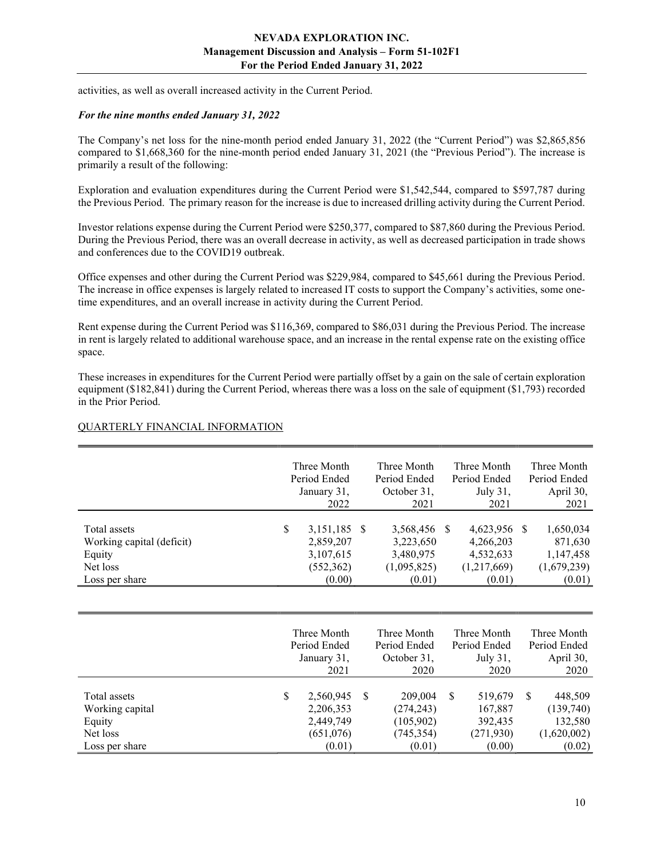activities, as well as overall increased activity in the Current Period.

#### For the nine months ended January 31, 2022

The Company's net loss for the nine-month period ended January 31, 2022 (the "Current Period") was \$2,865,856 compared to \$1,668,360 for the nine-month period ended January 31, 2021 (the "Previous Period"). The increase is primarily a result of the following:

Exploration and evaluation expenditures during the Current Period were \$1,542,544, compared to \$597,787 during the Previous Period. The primary reason for the increase is due to increased drilling activity during the Current Period.

Investor relations expense during the Current Period were \$250,377, compared to \$87,860 during the Previous Period. During the Previous Period, there was an overall decrease in activity, as well as decreased participation in trade shows and conferences due to the COVID19 outbreak.

Office expenses and other during the Current Period was \$229,984, compared to \$45,661 during the Previous Period. The increase in office expenses is largely related to increased IT costs to support the Company's activities, some onetime expenditures, and an overall increase in activity during the Current Period.

Rent expense during the Current Period was \$116,369, compared to \$86,031 during the Previous Period. The increase in rent is largely related to additional warehouse space, and an increase in the rental expense rate on the existing office space.

These increases in expenditures for the Current Period were partially offset by a gain on the sale of certain exploration equipment (\$182,841) during the Current Period, whereas there was a loss on the sale of equipment (\$1,793) recorded in the Prior Period.

|                           | Three Month        | Three Month  | Three Month  | Three Month  |
|---------------------------|--------------------|--------------|--------------|--------------|
|                           | Period Ended       | Period Ended | Period Ended | Period Ended |
|                           | January 31,        | October 31,  | July 31,     | April 30,    |
|                           | 2022               | 2021         | 2021         | 2021         |
|                           |                    |              |              |              |
| Total assets              | \$<br>3,151,185 \$ | 3,568,456 \$ | 4,623,956 \$ | 1,650,034    |
| Working capital (deficit) | 2,859,207          | 3,223,650    | 4,266,203    | 871,630      |
| Equity                    | 3,107,615          | 3,480,975    | 4,532,633    | 1,147,458    |
| Net loss                  | (552, 362)         | (1,095,825)  | (1,217,669)  | (1,679,239)  |
| Loss per share            | (0.00)             | (0.01)       | (0.01)       | (0.01)       |

#### QUARTERLY FINANCIAL INFORMATION

|                                                       | Three Month<br>Period Ended<br>January 31,<br>2021     |    | Three Month<br>Period Ended<br>October 31,<br>2020 |   | Three Month<br>Period Ended<br>July 31,<br>2020 |          | Three Month<br>Period Ended<br>April 30,<br>2020 |
|-------------------------------------------------------|--------------------------------------------------------|----|----------------------------------------------------|---|-------------------------------------------------|----------|--------------------------------------------------|
| Total assets<br>Working capital<br>Equity<br>Net loss | \$<br>2,560,945<br>2,206,353<br>2,449,749<br>(651,076) | -S | 209,004<br>(274, 243)<br>(105,902)<br>(745, 354)   | S | 519,679<br>167,887<br>392,435<br>(271, 930)     | <b>S</b> | 448,509<br>(139,740)<br>132,580<br>(1,620,002)   |
| Loss per share                                        | (0.01)                                                 |    | (0.01)                                             |   | (0.00)                                          |          | (0.02)                                           |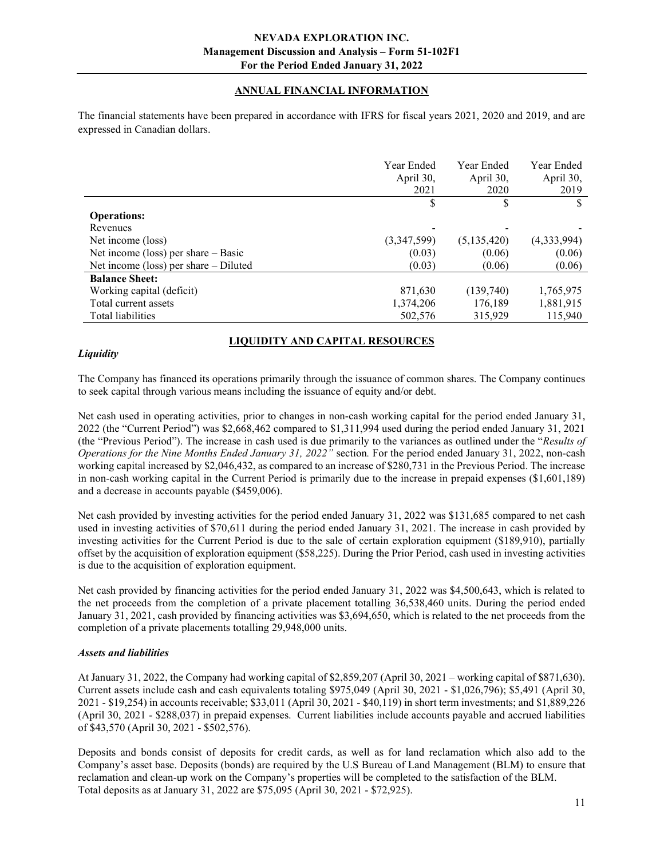# ANNUAL FINANCIAL INFORMATION

The financial statements have been prepared in accordance with IFRS for fiscal years 2021, 2020 and 2019, and are expressed in Canadian dollars.

|                                         | Year Ended<br>April 30, | Year Ended<br>April 30, | Year Ended<br>April 30, |
|-----------------------------------------|-------------------------|-------------------------|-------------------------|
|                                         | 2021                    | 2020                    | 2019                    |
|                                         | \$                      | S                       | \$                      |
| <b>Operations:</b>                      |                         |                         |                         |
| Revenues                                |                         |                         |                         |
| Net income (loss)                       | (3,347,599)             | (5,135,420)             | (4,333,994)             |
| Net income (loss) per share $-$ Basic   | (0.03)                  | (0.06)                  | (0.06)                  |
| Net income (loss) per share $-$ Diluted | (0.03)                  | (0.06)                  | (0.06)                  |
| <b>Balance Sheet:</b>                   |                         |                         |                         |
| Working capital (deficit)               | 871,630                 | (139,740)               | 1,765,975               |
| Total current assets                    | 1,374,206               | 176,189                 | 1,881,915               |
| Total liabilities                       | 502,576                 | 315,929                 | 115,940                 |

# LIQUIDITY AND CAPITAL RESOURCES

#### **Liquidity**

The Company has financed its operations primarily through the issuance of common shares. The Company continues to seek capital through various means including the issuance of equity and/or debt.

Net cash used in operating activities, prior to changes in non-cash working capital for the period ended January 31, 2022 (the "Current Period") was \$2,668,462 compared to \$1,311,994 used during the period ended January 31, 2021 (the "Previous Period"). The increase in cash used is due primarily to the variances as outlined under the "Results of Operations for the Nine Months Ended January 31, 2022" section. For the period ended January 31, 2022, non-cash working capital increased by \$2,046,432, as compared to an increase of \$280,731 in the Previous Period. The increase in non-cash working capital in the Current Period is primarily due to the increase in prepaid expenses (\$1,601,189) and a decrease in accounts payable (\$459,006).

Net cash provided by investing activities for the period ended January 31, 2022 was \$131,685 compared to net cash used in investing activities of \$70,611 during the period ended January 31, 2021. The increase in cash provided by investing activities for the Current Period is due to the sale of certain exploration equipment (\$189,910), partially offset by the acquisition of exploration equipment (\$58,225). During the Prior Period, cash used in investing activities is due to the acquisition of exploration equipment.

Net cash provided by financing activities for the period ended January 31, 2022 was \$4,500,643, which is related to the net proceeds from the completion of a private placement totalling 36,538,460 units. During the period ended January 31, 2021, cash provided by financing activities was \$3,694,650, which is related to the net proceeds from the completion of a private placements totalling 29,948,000 units.

## Assets and liabilities

At January 31, 2022, the Company had working capital of \$2,859,207 (April 30, 2021 – working capital of \$871,630). Current assets include cash and cash equivalents totaling \$975,049 (April 30, 2021 - \$1,026,796); \$5,491 (April 30, 2021 - \$19,254) in accounts receivable; \$33,011 (April 30, 2021 - \$40,119) in short term investments; and \$1,889,226 (April 30, 2021 - \$288,037) in prepaid expenses. Current liabilities include accounts payable and accrued liabilities of \$43,570 (April 30, 2021 - \$502,576).

Deposits and bonds consist of deposits for credit cards, as well as for land reclamation which also add to the Company's asset base. Deposits (bonds) are required by the U.S Bureau of Land Management (BLM) to ensure that reclamation and clean-up work on the Company's properties will be completed to the satisfaction of the BLM. Total deposits as at January 31, 2022 are \$75,095 (April 30, 2021 - \$72,925).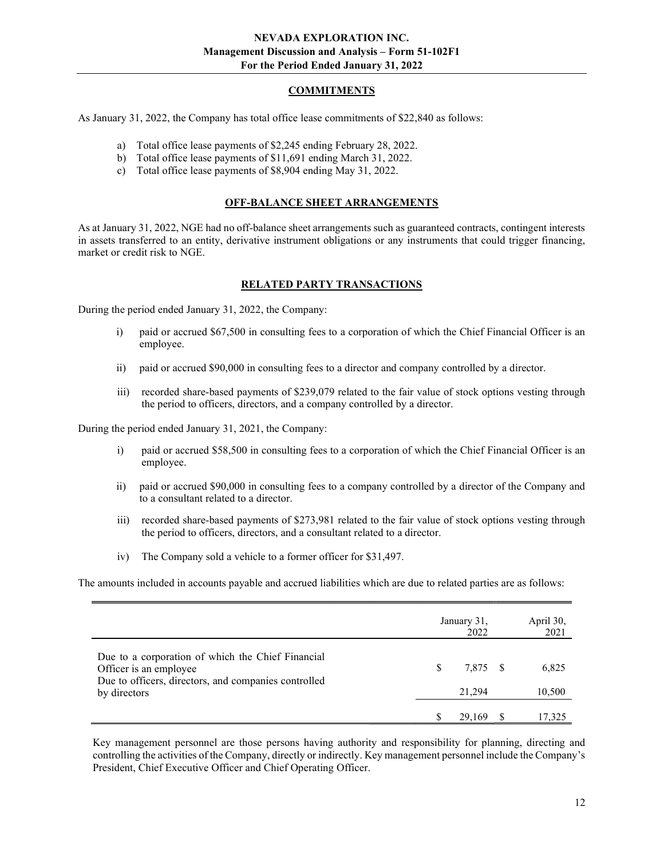## COMMITMENTS

As January 31, 2022, the Company has total office lease commitments of \$22,840 as follows:

- a) Total office lease payments of \$2,245 ending February 28, 2022.
- b) Total office lease payments of \$11,691 ending March 31, 2022.
- c) Total office lease payments of \$8,904 ending May 31, 2022.

#### OFF-BALANCE SHEET ARRANGEMENTS

As at January 31, 2022, NGE had no off-balance sheet arrangements such as guaranteed contracts, contingent interests in assets transferred to an entity, derivative instrument obligations or any instruments that could trigger financing, market or credit risk to NGE.

#### RELATED PARTY TRANSACTIONS

During the period ended January 31, 2022, the Company:

- i) paid or accrued \$67,500 in consulting fees to a corporation of which the Chief Financial Officer is an employee.
- ii) paid or accrued \$90,000 in consulting fees to a director and company controlled by a director.
- iii) recorded share-based payments of \$239,079 related to the fair value of stock options vesting through the period to officers, directors, and a company controlled by a director.

During the period ended January 31, 2021, the Company:

- i) paid or accrued \$58,500 in consulting fees to a corporation of which the Chief Financial Officer is an employee.
- ii) paid or accrued \$90,000 in consulting fees to a company controlled by a director of the Company and to a consultant related to a director.
- iii) recorded share-based payments of \$273,981 related to the fair value of stock options vesting through the period to officers, directors, and a consultant related to a director.
- iv) The Company sold a vehicle to a former officer for \$31,497.

The amounts included in accounts payable and accrued liabilities which are due to related parties are as follows:

|                                                                                                                                                     |               | January 31,<br>2022 | April 30,<br>2021 |
|-----------------------------------------------------------------------------------------------------------------------------------------------------|---------------|---------------------|-------------------|
| Due to a corporation of which the Chief Financial<br>Officer is an employee<br>Due to officers, directors, and companies controlled<br>by directors | <sup>\$</sup> | 7.875 \$<br>21.294  | 6,825<br>10,500   |
|                                                                                                                                                     |               | 29,169              | 17.325            |

Key management personnel are those persons having authority and responsibility for planning, directing and controlling the activities of the Company, directly or indirectly. Key management personnel include the Company's President, Chief Executive Officer and Chief Operating Officer.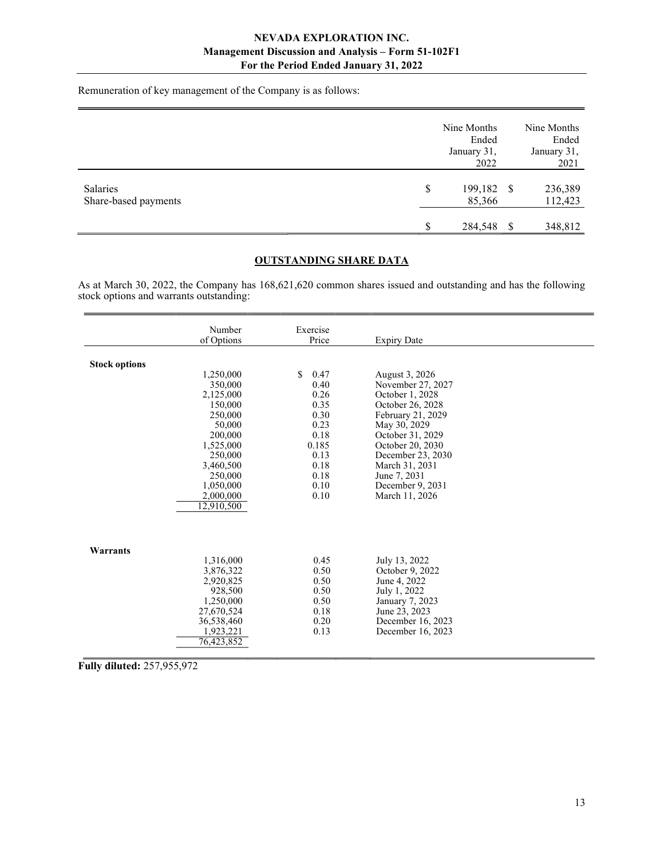Remuneration of key management of the Company is as follows:

|                                  |    | Nine Months<br>Ended<br>January 31,<br>2022 |          | Nine Months<br>Ended<br>January 31,<br>2021 |
|----------------------------------|----|---------------------------------------------|----------|---------------------------------------------|
| Salaries<br>Share-based payments | \$ | 199,182 \$<br>85,366                        |          | 236,389<br>112,423                          |
|                                  | S  | 284,548                                     | <b>S</b> | 348,812                                     |

# OUTSTANDING SHARE DATA

As at March 30, 2022, the Company has 168,621,620 common shares issued and outstanding and has the following stock options and warrants outstanding:

|                      | Number<br>of Options                                                                                                                                                 | Exercise<br>Price                                                                                                      | <b>Expiry Date</b>                                                                                                                                                                                                                                   |  |
|----------------------|----------------------------------------------------------------------------------------------------------------------------------------------------------------------|------------------------------------------------------------------------------------------------------------------------|------------------------------------------------------------------------------------------------------------------------------------------------------------------------------------------------------------------------------------------------------|--|
| <b>Stock options</b> | 1,250,000<br>350,000<br>2,125,000<br>150,000<br>250,000<br>50,000<br>200,000<br>1,525,000<br>250,000<br>3,460,500<br>250,000<br>1,050,000<br>2,000,000<br>12,910,500 | <sup>\$</sup><br>0.47<br>0.40<br>0.26<br>0.35<br>0.30<br>0.23<br>0.18<br>0.185<br>0.13<br>0.18<br>0.18<br>0.10<br>0.10 | August 3, 2026<br>November 27, 2027<br>October 1, 2028<br>October 26, 2028<br>February 21, 2029<br>May 30, 2029<br>October 31, 2029<br>October 20, 2030<br>December 23, 2030<br>March 31, 2031<br>June 7, 2031<br>December 9, 2031<br>March 11, 2026 |  |
| Warrants             | 1,316,000<br>3,876,322<br>2,920,825<br>928,500<br>1,250,000<br>27,670,524<br>36,538,460<br>1,923,221<br>76.423.852                                                   | 0.45<br>0.50<br>0.50<br>0.50<br>0.50<br>0.18<br>0.20<br>0.13                                                           | July 13, 2022<br>October 9, 2022<br>June 4, 2022<br>July 1, 2022<br>January 7, 2023<br>June 23, 2023<br>December 16, 2023<br>December 16, 2023                                                                                                       |  |

Fully diluted: 257,955,972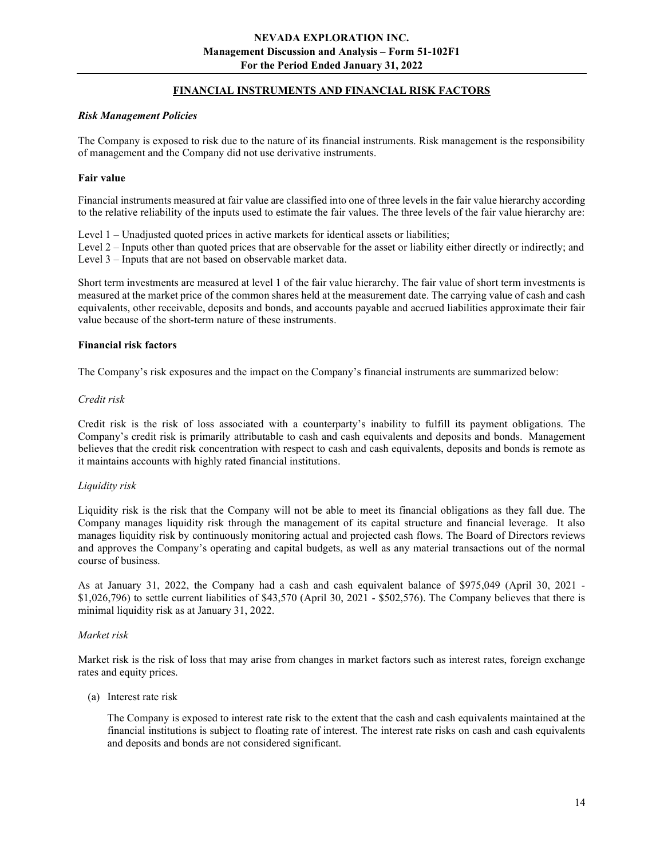# FINANCIAL INSTRUMENTS AND FINANCIAL RISK FACTORS

#### Risk Management Policies

The Company is exposed to risk due to the nature of its financial instruments. Risk management is the responsibility of management and the Company did not use derivative instruments.

#### Fair value

Financial instruments measured at fair value are classified into one of three levels in the fair value hierarchy according to the relative reliability of the inputs used to estimate the fair values. The three levels of the fair value hierarchy are:

Level  $1 -$  Unadjusted quoted prices in active markets for identical assets or liabilities;

Level 2 – Inputs other than quoted prices that are observable for the asset or liability either directly or indirectly; and Level 3 – Inputs that are not based on observable market data.

Short term investments are measured at level 1 of the fair value hierarchy. The fair value of short term investments is measured at the market price of the common shares held at the measurement date. The carrying value of cash and cash equivalents, other receivable, deposits and bonds, and accounts payable and accrued liabilities approximate their fair value because of the short-term nature of these instruments.

#### Financial risk factors

The Company's risk exposures and the impact on the Company's financial instruments are summarized below:

#### Credit risk

Credit risk is the risk of loss associated with a counterparty's inability to fulfill its payment obligations. The Company's credit risk is primarily attributable to cash and cash equivalents and deposits and bonds. Management believes that the credit risk concentration with respect to cash and cash equivalents, deposits and bonds is remote as it maintains accounts with highly rated financial institutions.

## Liquidity risk

Liquidity risk is the risk that the Company will not be able to meet its financial obligations as they fall due. The Company manages liquidity risk through the management of its capital structure and financial leverage. It also manages liquidity risk by continuously monitoring actual and projected cash flows. The Board of Directors reviews and approves the Company's operating and capital budgets, as well as any material transactions out of the normal course of business.

As at January 31, 2022, the Company had a cash and cash equivalent balance of \$975,049 (April 30, 2021 -  $$1,026,796$ ) to settle current liabilities of  $$43,570$  (April 30, 2021 -  $$502,576$ ). The Company believes that there is minimal liquidity risk as at January 31, 2022.

## Market risk

Market risk is the risk of loss that may arise from changes in market factors such as interest rates, foreign exchange rates and equity prices.

#### (a) Interest rate risk

 The Company is exposed to interest rate risk to the extent that the cash and cash equivalents maintained at the financial institutions is subject to floating rate of interest. The interest rate risks on cash and cash equivalents and deposits and bonds are not considered significant.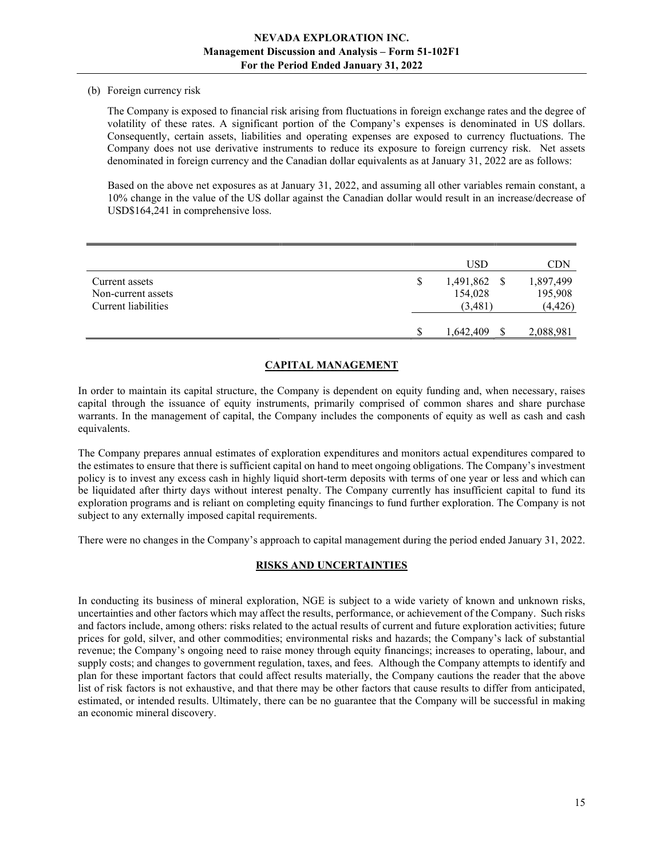#### (b) Foreign currency risk

The Company is exposed to financial risk arising from fluctuations in foreign exchange rates and the degree of volatility of these rates. A significant portion of the Company's expenses is denominated in US dollars. Consequently, certain assets, liabilities and operating expenses are exposed to currency fluctuations. The Company does not use derivative instruments to reduce its exposure to foreign currency risk. Net assets denominated in foreign currency and the Canadian dollar equivalents as at January 31, 2022 are as follows:

Based on the above net exposures as at January 31, 2022, and assuming all other variables remain constant, a 10% change in the value of the US dollar against the Canadian dollar would result in an increase/decrease of USD\$164,241 in comprehensive loss.

|                     |   | <b>USD</b> |    | <b>CDN</b> |
|---------------------|---|------------|----|------------|
| Current assets      | S | 1,491,862  | -S | 1,897,499  |
| Non-current assets  |   | 154,028    |    | 195,908    |
| Current liabilities |   | (3,481)    |    | (4, 426)   |
|                     |   |            |    |            |
|                     | S | 1,642,409  |    | 2,088,981  |

# CAPITAL MANAGEMENT

In order to maintain its capital structure, the Company is dependent on equity funding and, when necessary, raises capital through the issuance of equity instruments, primarily comprised of common shares and share purchase warrants. In the management of capital, the Company includes the components of equity as well as cash and cash equivalents.

The Company prepares annual estimates of exploration expenditures and monitors actual expenditures compared to the estimates to ensure that there is sufficient capital on hand to meet ongoing obligations. The Company's investment policy is to invest any excess cash in highly liquid short-term deposits with terms of one year or less and which can be liquidated after thirty days without interest penalty. The Company currently has insufficient capital to fund its exploration programs and is reliant on completing equity financings to fund further exploration. The Company is not subject to any externally imposed capital requirements.

There were no changes in the Company's approach to capital management during the period ended January 31, 2022.

## RISKS AND UNCERTAINTIES

In conducting its business of mineral exploration, NGE is subject to a wide variety of known and unknown risks, uncertainties and other factors which may affect the results, performance, or achievement of the Company. Such risks and factors include, among others: risks related to the actual results of current and future exploration activities; future prices for gold, silver, and other commodities; environmental risks and hazards; the Company's lack of substantial revenue; the Company's ongoing need to raise money through equity financings; increases to operating, labour, and supply costs; and changes to government regulation, taxes, and fees. Although the Company attempts to identify and plan for these important factors that could affect results materially, the Company cautions the reader that the above list of risk factors is not exhaustive, and that there may be other factors that cause results to differ from anticipated, estimated, or intended results. Ultimately, there can be no guarantee that the Company will be successful in making an economic mineral discovery.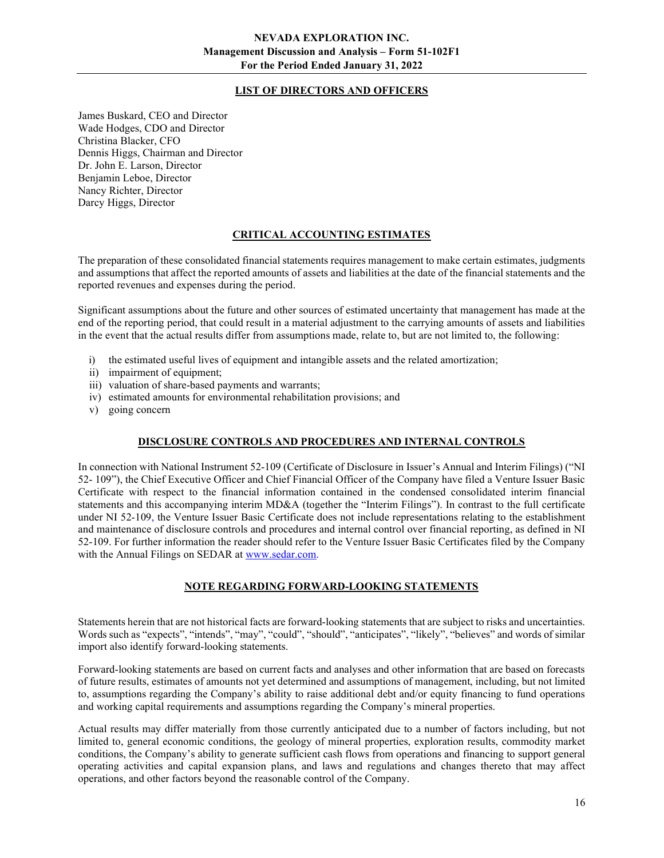# LIST OF DIRECTORS AND OFFICERS

James Buskard, CEO and Director Wade Hodges, CDO and Director Christina Blacker, CFO Dennis Higgs, Chairman and Director Dr. John E. Larson, Director Benjamin Leboe, Director Nancy Richter, Director Darcy Higgs, Director

# CRITICAL ACCOUNTING ESTIMATES

The preparation of these consolidated financial statements requires management to make certain estimates, judgments and assumptions that affect the reported amounts of assets and liabilities at the date of the financial statements and the reported revenues and expenses during the period.

Significant assumptions about the future and other sources of estimated uncertainty that management has made at the end of the reporting period, that could result in a material adjustment to the carrying amounts of assets and liabilities in the event that the actual results differ from assumptions made, relate to, but are not limited to, the following:

- i) the estimated useful lives of equipment and intangible assets and the related amortization;
- ii) impairment of equipment;
- iii) valuation of share-based payments and warrants;
- iv) estimated amounts for environmental rehabilitation provisions; and
- v) going concern

## DISCLOSURE CONTROLS AND PROCEDURES AND INTERNAL CONTROLS

In connection with National Instrument 52-109 (Certificate of Disclosure in Issuer's Annual and Interim Filings) ("NI 52- 109"), the Chief Executive Officer and Chief Financial Officer of the Company have filed a Venture Issuer Basic Certificate with respect to the financial information contained in the condensed consolidated interim financial statements and this accompanying interim MD&A (together the "Interim Filings"). In contrast to the full certificate under NI 52-109, the Venture Issuer Basic Certificate does not include representations relating to the establishment and maintenance of disclosure controls and procedures and internal control over financial reporting, as defined in NI 52-109. For further information the reader should refer to the Venture Issuer Basic Certificates filed by the Company with the Annual Filings on SEDAR at www.sedar.com.

## NOTE REGARDING FORWARD-LOOKING STATEMENTS

Statements herein that are not historical facts are forward-looking statements that are subject to risks and uncertainties. Words such as "expects", "intends", "may", "could", "should", "anticipates", "likely", "believes" and words of similar import also identify forward-looking statements.

Forward-looking statements are based on current facts and analyses and other information that are based on forecasts of future results, estimates of amounts not yet determined and assumptions of management, including, but not limited to, assumptions regarding the Company's ability to raise additional debt and/or equity financing to fund operations and working capital requirements and assumptions regarding the Company's mineral properties.

Actual results may differ materially from those currently anticipated due to a number of factors including, but not limited to, general economic conditions, the geology of mineral properties, exploration results, commodity market conditions, the Company's ability to generate sufficient cash flows from operations and financing to support general operating activities and capital expansion plans, and laws and regulations and changes thereto that may affect operations, and other factors beyond the reasonable control of the Company.